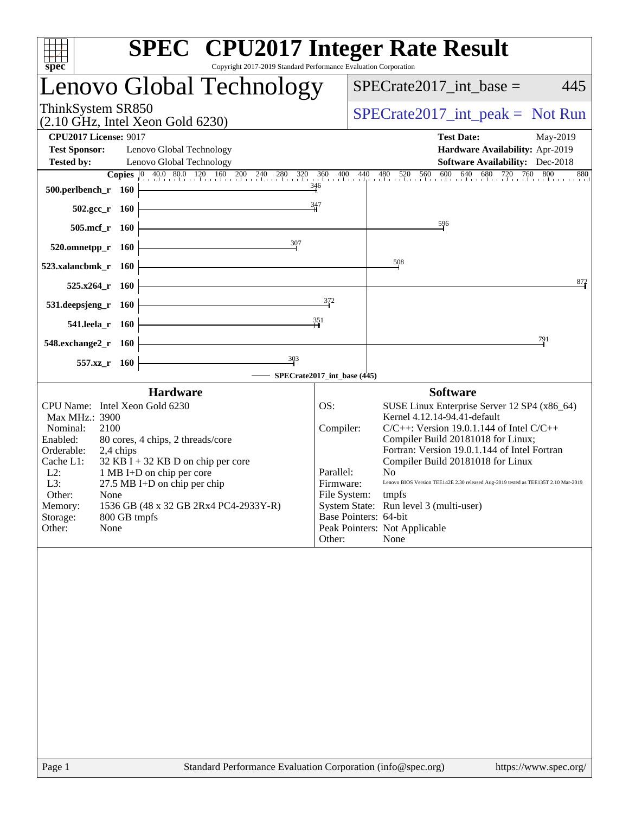| spec                                                                                                                                                                                                                                                                                                                                                                                                                         | <b>SPEC<sup>®</sup></b> CPU2017 Integer Rate Result<br>Copyright 2017-2019 Standard Performance Evaluation Corporation                                                                                                                                                                                                                                                                                                                                                                                                                                                           |
|------------------------------------------------------------------------------------------------------------------------------------------------------------------------------------------------------------------------------------------------------------------------------------------------------------------------------------------------------------------------------------------------------------------------------|----------------------------------------------------------------------------------------------------------------------------------------------------------------------------------------------------------------------------------------------------------------------------------------------------------------------------------------------------------------------------------------------------------------------------------------------------------------------------------------------------------------------------------------------------------------------------------|
| Lenovo Global Technology                                                                                                                                                                                                                                                                                                                                                                                                     | $SPECrate2017\_int\_base =$<br>445                                                                                                                                                                                                                                                                                                                                                                                                                                                                                                                                               |
| ThinkSystem SR850<br>$(2.10 \text{ GHz}, \text{Intel Xeon Gold } 6230)$                                                                                                                                                                                                                                                                                                                                                      | $SPECrate2017\_int\_peak = Not Run$                                                                                                                                                                                                                                                                                                                                                                                                                                                                                                                                              |
| <b>CPU2017 License: 9017</b><br><b>Test Sponsor:</b><br>Lenovo Global Technology<br>Lenovo Global Technology<br><b>Tested by:</b>                                                                                                                                                                                                                                                                                            | <b>Test Date:</b><br>May-2019<br>Hardware Availability: Apr-2019<br>Software Availability: Dec-2018<br><b>Copies</b> $\begin{bmatrix} 0 & 40.0 & 80.0 & 120 & 160 & 200 & 240 & 280 & 320 & 360 & 400 & 440 & 480 & 520 & 560 & 600 & 640 & 680 & 720 & 760 \end{bmatrix}$<br>800<br>880                                                                                                                                                                                                                                                                                         |
| 500.perlbench_r 160<br>$502.\text{gcc r}$ 160                                                                                                                                                                                                                                                                                                                                                                                | $\frac{346}{4}$<br>347                                                                                                                                                                                                                                                                                                                                                                                                                                                                                                                                                           |
| 505.mcf_r 160                                                                                                                                                                                                                                                                                                                                                                                                                | 596                                                                                                                                                                                                                                                                                                                                                                                                                                                                                                                                                                              |
| 307<br>520.omnetpp_r<br><b>160</b><br>523.xalancbmk_r<br>- 160                                                                                                                                                                                                                                                                                                                                                               | 508                                                                                                                                                                                                                                                                                                                                                                                                                                                                                                                                                                              |
| 525.x264<br>- 160                                                                                                                                                                                                                                                                                                                                                                                                            | $\frac{872}{1}$                                                                                                                                                                                                                                                                                                                                                                                                                                                                                                                                                                  |
| 531.deepsjeng_r<br><b>160</b>                                                                                                                                                                                                                                                                                                                                                                                                | 372<br>351                                                                                                                                                                                                                                                                                                                                                                                                                                                                                                                                                                       |
| 541.leela_r 160<br>548.exchange2_r 160                                                                                                                                                                                                                                                                                                                                                                                       | 791                                                                                                                                                                                                                                                                                                                                                                                                                                                                                                                                                                              |
| $\frac{303}{9}$<br>557.xz_r<br>- 160                                                                                                                                                                                                                                                                                                                                                                                         | SPECrate2017_int_base (445)                                                                                                                                                                                                                                                                                                                                                                                                                                                                                                                                                      |
| <b>Hardware</b><br>CPU Name: Intel Xeon Gold 6230<br>Max MHz.: 3900<br>Nominal:<br>2100<br>Enabled:<br>80 cores, 4 chips, 2 threads/core<br>Orderable:<br>2,4 chips<br>Cache L1:<br>$32$ KB I + 32 KB D on chip per core<br>1 MB I+D on chip per core<br>$L2$ :<br>L3:<br>$27.5$ MB I+D on chip per chip<br>Other:<br>None<br>Memory:<br>1536 GB (48 x 32 GB 2Rx4 PC4-2933Y-R)<br>Storage:<br>800 GB tmpfs<br>None<br>Other: | <b>Software</b><br>OS:<br>SUSE Linux Enterprise Server 12 SP4 (x86_64)<br>Kernel 4.12.14-94.41-default<br>Compiler:<br>$C/C++$ : Version 19.0.1.144 of Intel $C/C++$<br>Compiler Build 20181018 for Linux;<br>Fortran: Version 19.0.1.144 of Intel Fortran<br>Compiler Build 20181018 for Linux<br>Parallel:<br>N <sub>o</sub><br>Firmware:<br>Lenovo BIOS Version TEE142E 2.30 released Aug-2019 tested as TEE135T 2.10 Mar-2019<br>File System:<br>tmpfs<br>System State: Run level 3 (multi-user)<br>Base Pointers: 64-bit<br>Peak Pointers: Not Applicable<br>None<br>Other: |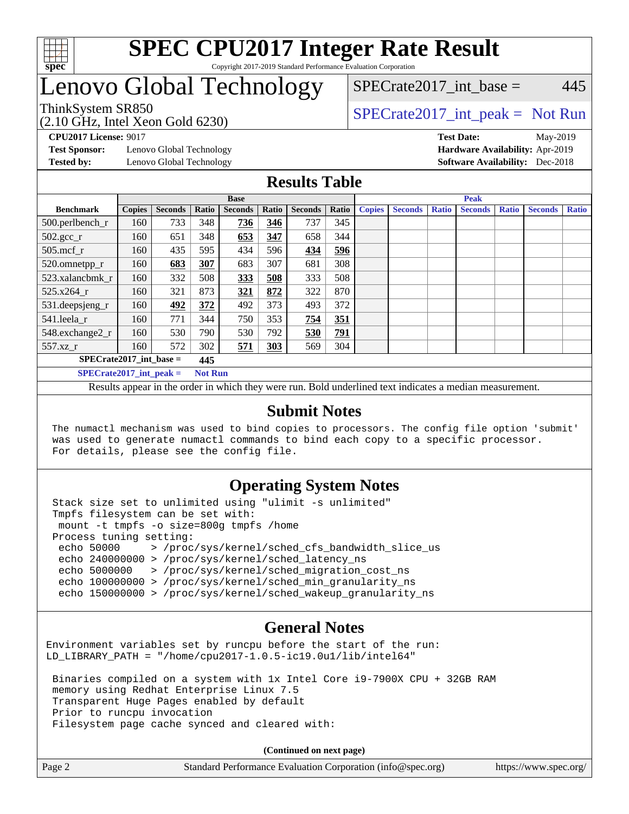

# Lenovo Global Technology

 $SPECTate2017\_int\_base = 445$ 

(2.10 GHz, Intel Xeon Gold 6230)

ThinkSystem SR850<br>  $SPECTR_{10}$  [SPECrate2017\\_int\\_peak =](http://www.spec.org/auto/cpu2017/Docs/result-fields.html#SPECrate2017intpeak) Not Run

**[Test Sponsor:](http://www.spec.org/auto/cpu2017/Docs/result-fields.html#TestSponsor)** Lenovo Global Technology **[Hardware Availability:](http://www.spec.org/auto/cpu2017/Docs/result-fields.html#HardwareAvailability)** Apr-2019

**[CPU2017 License:](http://www.spec.org/auto/cpu2017/Docs/result-fields.html#CPU2017License)** 9017 **[Test Date:](http://www.spec.org/auto/cpu2017/Docs/result-fields.html#TestDate)** May-2019 **[Tested by:](http://www.spec.org/auto/cpu2017/Docs/result-fields.html#Testedby)** Lenovo Global Technology **[Software Availability:](http://www.spec.org/auto/cpu2017/Docs/result-fields.html#SoftwareAvailability)** Dec-2018

#### **[Results Table](http://www.spec.org/auto/cpu2017/Docs/result-fields.html#ResultsTable)**

|                                  | <b>Base</b>   |                |                |                |       |                |       | <b>Peak</b>   |                |              |                |              |                |              |  |
|----------------------------------|---------------|----------------|----------------|----------------|-------|----------------|-------|---------------|----------------|--------------|----------------|--------------|----------------|--------------|--|
| <b>Benchmark</b>                 | <b>Copies</b> | <b>Seconds</b> | Ratio          | <b>Seconds</b> | Ratio | <b>Seconds</b> | Ratio | <b>Copies</b> | <b>Seconds</b> | <b>Ratio</b> | <b>Seconds</b> | <b>Ratio</b> | <b>Seconds</b> | <b>Ratio</b> |  |
| 500.perlbench_r                  | 160           | 733            | 348            | 736            | 346   | 737            | 345   |               |                |              |                |              |                |              |  |
| $502.\text{gcc}$ _r              | 160           | 651            | 348            | 653            | 347   | 658            | 344   |               |                |              |                |              |                |              |  |
| $505$ .mcf r                     | 160           | 435            | 595            | 434            | 596   | 434            | 596   |               |                |              |                |              |                |              |  |
| 520.omnetpp_r                    | 160           | 683            | 307            | 683            | 307   | 681            | 308   |               |                |              |                |              |                |              |  |
| 523.xalancbmk r                  | 160           | 332            | 508            | 333            | 508   | 333            | 508   |               |                |              |                |              |                |              |  |
| 525.x264 r                       | 160           | 321            | 873            | 321            | 872   | 322            | 870   |               |                |              |                |              |                |              |  |
| 531.deepsjeng_r                  | 160           | 492            | 372            | 492            | 373   | 493            | 372   |               |                |              |                |              |                |              |  |
| 541.leela r                      | 160           | 771            | 344            | 750            | 353   | 754            | 351   |               |                |              |                |              |                |              |  |
| 548.exchange2_r                  | 160           | 530            | 790            | 530            | 792   | 530            | 791   |               |                |              |                |              |                |              |  |
| 557.xz                           | 160           | 572            | 302            | 571            | 303   | 569            | 304   |               |                |              |                |              |                |              |  |
| $SPECrate2017$ int base =<br>445 |               |                |                |                |       |                |       |               |                |              |                |              |                |              |  |
| $SPECrate2017$ int peak =        |               |                | <b>Not Run</b> |                |       |                |       |               |                |              |                |              |                |              |  |

Results appear in the [order in which they were run](http://www.spec.org/auto/cpu2017/Docs/result-fields.html#RunOrder). Bold underlined text [indicates a median measurement](http://www.spec.org/auto/cpu2017/Docs/result-fields.html#Median).

#### **[Submit Notes](http://www.spec.org/auto/cpu2017/Docs/result-fields.html#SubmitNotes)**

 The numactl mechanism was used to bind copies to processors. The config file option 'submit' was used to generate numactl commands to bind each copy to a specific processor. For details, please see the config file.

### **[Operating System Notes](http://www.spec.org/auto/cpu2017/Docs/result-fields.html#OperatingSystemNotes)**

 Stack size set to unlimited using "ulimit -s unlimited" Tmpfs filesystem can be set with: mount -t tmpfs -o size=800g tmpfs /home Process tuning setting: echo 50000 > /proc/sys/kernel/sched\_cfs\_bandwidth\_slice\_us echo 240000000 > /proc/sys/kernel/sched\_latency\_ns echo 5000000 > /proc/sys/kernel/sched\_migration\_cost\_ns echo 100000000 > /proc/sys/kernel/sched\_min\_granularity\_ns echo 150000000 > /proc/sys/kernel/sched\_wakeup\_granularity\_ns

#### **[General Notes](http://www.spec.org/auto/cpu2017/Docs/result-fields.html#GeneralNotes)**

Environment variables set by runcpu before the start of the run: LD\_LIBRARY\_PATH = "/home/cpu2017-1.0.5-ic19.0u1/lib/intel64"

 Binaries compiled on a system with 1x Intel Core i9-7900X CPU + 32GB RAM memory using Redhat Enterprise Linux 7.5 Transparent Huge Pages enabled by default Prior to runcpu invocation Filesystem page cache synced and cleared with:

**(Continued on next page)**

|  | Page 2 | Standard Performance Evaluation Corporation (info@spec.org) | https://www.spec.org/ |
|--|--------|-------------------------------------------------------------|-----------------------|
|--|--------|-------------------------------------------------------------|-----------------------|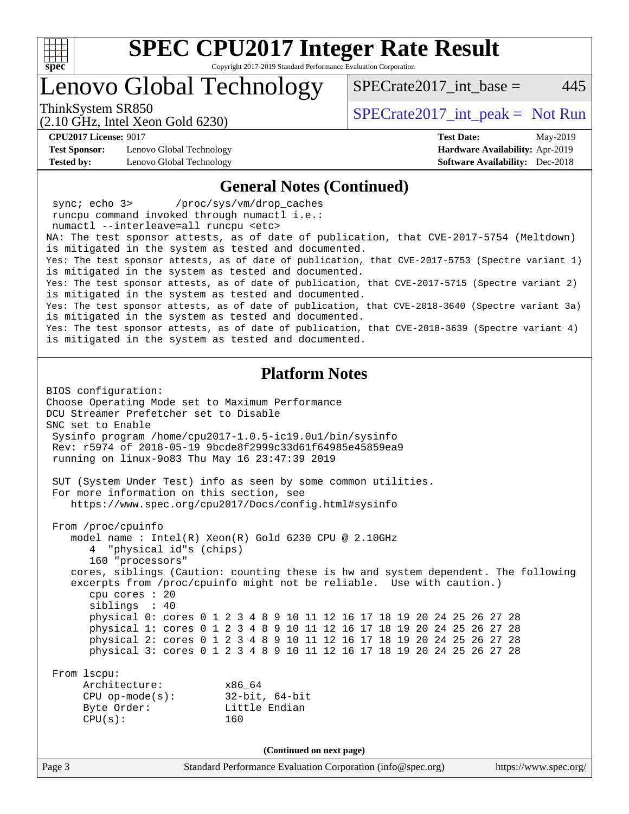

Lenovo Global Technology

ThinkSystem SR850<br>  $SPECTR_{10}$  [SPECrate2017\\_int\\_peak =](http://www.spec.org/auto/cpu2017/Docs/result-fields.html#SPECrate2017intpeak) Not Run

SPECrate  $2017$  int base = 445

**[CPU2017 License:](http://www.spec.org/auto/cpu2017/Docs/result-fields.html#CPU2017License)** 9017 **[Test Date:](http://www.spec.org/auto/cpu2017/Docs/result-fields.html#TestDate)** May-2019

**[Test Sponsor:](http://www.spec.org/auto/cpu2017/Docs/result-fields.html#TestSponsor)** Lenovo Global Technology **[Hardware Availability:](http://www.spec.org/auto/cpu2017/Docs/result-fields.html#HardwareAvailability)** Apr-2019 **[Tested by:](http://www.spec.org/auto/cpu2017/Docs/result-fields.html#Testedby)** Lenovo Global Technology **[Software Availability:](http://www.spec.org/auto/cpu2017/Docs/result-fields.html#SoftwareAvailability)** Dec-2018

(2.10 GHz, Intel Xeon Gold 6230)

#### **[General Notes \(Continued\)](http://www.spec.org/auto/cpu2017/Docs/result-fields.html#GeneralNotes)**

 sync; echo 3> /proc/sys/vm/drop\_caches runcpu command invoked through numactl i.e.: numactl --interleave=all runcpu <etc> NA: The test sponsor attests, as of date of publication, that CVE-2017-5754 (Meltdown) is mitigated in the system as tested and documented. Yes: The test sponsor attests, as of date of publication, that CVE-2017-5753 (Spectre variant 1) is mitigated in the system as tested and documented. Yes: The test sponsor attests, as of date of publication, that CVE-2017-5715 (Spectre variant 2) is mitigated in the system as tested and documented. Yes: The test sponsor attests, as of date of publication, that CVE-2018-3640 (Spectre variant 3a) is mitigated in the system as tested and documented. Yes: The test sponsor attests, as of date of publication, that CVE-2018-3639 (Spectre variant 4) is mitigated in the system as tested and documented.

#### **[Platform Notes](http://www.spec.org/auto/cpu2017/Docs/result-fields.html#PlatformNotes)**

Page 3 Standard Performance Evaluation Corporation [\(info@spec.org\)](mailto:info@spec.org) <https://www.spec.org/> BIOS configuration: Choose Operating Mode set to Maximum Performance DCU Streamer Prefetcher set to Disable SNC set to Enable Sysinfo program /home/cpu2017-1.0.5-ic19.0u1/bin/sysinfo Rev: r5974 of 2018-05-19 9bcde8f2999c33d61f64985e45859ea9 running on linux-9o83 Thu May 16 23:47:39 2019 SUT (System Under Test) info as seen by some common utilities. For more information on this section, see <https://www.spec.org/cpu2017/Docs/config.html#sysinfo> From /proc/cpuinfo model name : Intel(R) Xeon(R) Gold 6230 CPU @ 2.10GHz 4 "physical id"s (chips) 160 "processors" cores, siblings (Caution: counting these is hw and system dependent. The following excerpts from /proc/cpuinfo might not be reliable. Use with caution.) cpu cores : 20 siblings : 40 physical 0: cores 0 1 2 3 4 8 9 10 11 12 16 17 18 19 20 24 25 26 27 28 physical 1: cores 0 1 2 3 4 8 9 10 11 12 16 17 18 19 20 24 25 26 27 28 physical 2: cores 0 1 2 3 4 8 9 10 11 12 16 17 18 19 20 24 25 26 27 28 physical 3: cores 0 1 2 3 4 8 9 10 11 12 16 17 18 19 20 24 25 26 27 28 From lscpu: Architecture: x86\_64 CPU op-mode(s): 32-bit, 64-bit Byte Order: Little Endian  $CPU(s):$  160 **(Continued on next page)**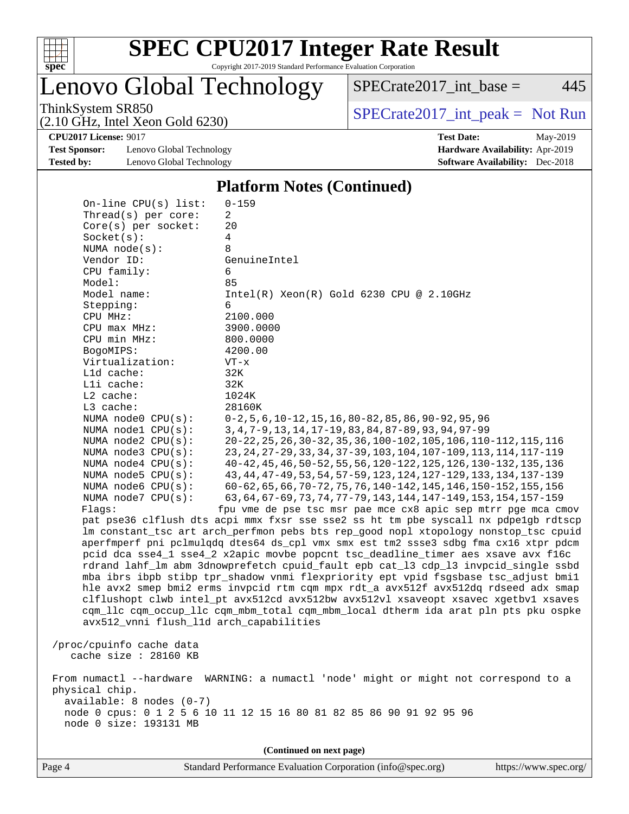

Lenovo Global Technology

 $SPECTate2017\_int\_base = 445$ 

(2.10 GHz, Intel Xeon Gold 6230)

ThinkSystem SR850<br>  $(2.10 \text{ GHz. Intel Yoon Gold } 6230)$  [SPECrate2017\\_int\\_peak =](http://www.spec.org/auto/cpu2017/Docs/result-fields.html#SPECrate2017intpeak) Not Run

**[Test Sponsor:](http://www.spec.org/auto/cpu2017/Docs/result-fields.html#TestSponsor)** Lenovo Global Technology **[Hardware Availability:](http://www.spec.org/auto/cpu2017/Docs/result-fields.html#HardwareAvailability)** Apr-2019 **[Tested by:](http://www.spec.org/auto/cpu2017/Docs/result-fields.html#Testedby)** Lenovo Global Technology **[Software Availability:](http://www.spec.org/auto/cpu2017/Docs/result-fields.html#SoftwareAvailability)** Dec-2018

**[CPU2017 License:](http://www.spec.org/auto/cpu2017/Docs/result-fields.html#CPU2017License)** 9017 **[Test Date:](http://www.spec.org/auto/cpu2017/Docs/result-fields.html#TestDate)** May-2019

#### **[Platform Notes \(Continued\)](http://www.spec.org/auto/cpu2017/Docs/result-fields.html#PlatformNotes)**

| On-line CPU(s) list:                    | $0 - 159$                                                                            |
|-----------------------------------------|--------------------------------------------------------------------------------------|
| Thread(s) per core:                     | 2                                                                                    |
| $Core(s)$ per socket:                   | 20                                                                                   |
| Socket(s):                              | 4                                                                                    |
| NUMA $node(s):$                         | 8                                                                                    |
| Vendor ID:                              | GenuineIntel                                                                         |
| CPU family:                             | 6                                                                                    |
| Model:                                  | 85                                                                                   |
| Model name:                             | $Intel(R) Xeon(R) Gold 6230 CPU @ 2.10GHz$                                           |
| Stepping:                               | 6                                                                                    |
| CPU MHz:                                | 2100.000                                                                             |
| CPU max MHz:                            | 3900.0000                                                                            |
| CPU min MHz:                            | 800.0000                                                                             |
| BogoMIPS:                               | 4200.00                                                                              |
| Virtualization:                         | $VT - x$                                                                             |
| Lld cache:                              | 32K                                                                                  |
| Lli cache:                              | 32K                                                                                  |
| $L2$ cache:                             | 1024K                                                                                |
| L3 cache:                               | 28160K                                                                               |
| NUMA node0 CPU(s):                      | $0-2, 5, 6, 10-12, 15, 16, 80-82, 85, 86, 90-92, 95, 96$                             |
| NUMA nodel CPU(s):                      | 3, 4, 7-9, 13, 14, 17-19, 83, 84, 87-89, 93, 94, 97-99                               |
| NUMA node2 CPU(s):                      | 20-22, 25, 26, 30-32, 35, 36, 100-102, 105, 106, 110-112, 115, 116                   |
| NUMA node3 CPU(s):                      | 23, 24, 27-29, 33, 34, 37-39, 103, 104, 107-109, 113, 114, 117-119                   |
| NUMA $node4$ $CPU(s):$                  | 40-42, 45, 46, 50-52, 55, 56, 120-122, 125, 126, 130-132, 135, 136                   |
| NUMA $node5$ $CPU(s):$                  | 43, 44, 47-49, 53, 54, 57-59, 123, 124, 127-129, 133, 134, 137-139                   |
| NUMA node6 $CPU(s):$                    | 60-62, 65, 66, 70-72, 75, 76, 140-142, 145, 146, 150-152, 155, 156                   |
| NUMA node7 CPU(s):                      | 63, 64, 67-69, 73, 74, 77-79, 143, 144, 147-149, 153, 154, 157-159                   |
| Flaqs:                                  | fpu vme de pse tsc msr pae mce cx8 apic sep mtrr pge mca cmov                        |
|                                         | pat pse36 clflush dts acpi mmx fxsr sse sse2 ss ht tm pbe syscall nx pdpelgb rdtscp  |
|                                         | lm constant_tsc art arch_perfmon pebs bts rep_good nopl xtopology nonstop_tsc cpuid  |
|                                         | aperfmperf pni pclmulqdq dtes64 ds_cpl vmx smx est tm2 ssse3 sdbg fma cx16 xtpr pdcm |
|                                         | pcid dca sse4_1 sse4_2 x2apic movbe popcnt tsc_deadline_timer aes xsave avx f16c     |
|                                         | rdrand lahf_lm abm 3dnowprefetch cpuid_fault epb cat_13 cdp_13 invpcid_single ssbd   |
|                                         | mba ibrs ibpb stibp tpr_shadow vnmi flexpriority ept vpid fsgsbase tsc_adjust bmil   |
|                                         | hle avx2 smep bmi2 erms invpcid rtm cqm mpx rdt_a avx512f avx512dq rdseed adx smap   |
|                                         | clflushopt clwb intel_pt avx512cd avx512bw avx512vl xsaveopt xsavec xgetbvl xsaves   |
|                                         | cqm_llc cqm_occup_llc cqm_mbm_total cqm_mbm_local dtherm ida arat pln pts pku ospke  |
| avx512_vnni flush_l1d arch_capabilities |                                                                                      |
|                                         |                                                                                      |
| /proc/cpuinfo cache data                |                                                                                      |
| cache size : 28160 KB                   |                                                                                      |
|                                         |                                                                                      |
|                                         | From numactl --hardware WARNING: a numactl 'node' might or might not correspond to a |
| physical chip.                          |                                                                                      |
| $available: 8 nodes (0-7)$              |                                                                                      |
|                                         | node 0 cpus: 0 1 2 5 6 10 11 12 15 16 80 81 82 85 86 90 91 92 95 96                  |
| node 0 size: 193131 MB                  |                                                                                      |
|                                         |                                                                                      |
|                                         | (Continued on next page)                                                             |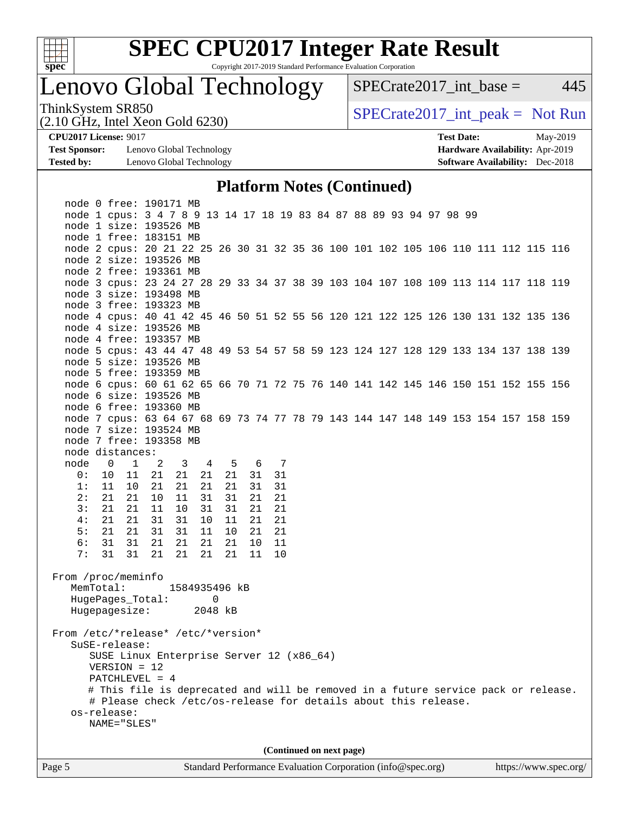

# **[SPEC CPU2017 Integer Rate Result](http://www.spec.org/auto/cpu2017/Docs/result-fields.html#SPECCPU2017IntegerRateResult)**

Copyright 2017-2019 Standard Performance Evaluation Corporation

# Lenovo Global Technology

 $SPECTate2017\_int\_base = 445$ 

(2.10 GHz, Intel Xeon Gold 6230)

ThinkSystem SR850<br>  $(2.10 \text{ GHz. Intel Yoon Gold } 6230)$  [SPECrate2017\\_int\\_peak =](http://www.spec.org/auto/cpu2017/Docs/result-fields.html#SPECrate2017intpeak) Not Run

**[Test Sponsor:](http://www.spec.org/auto/cpu2017/Docs/result-fields.html#TestSponsor)** Lenovo Global Technology **[Hardware Availability:](http://www.spec.org/auto/cpu2017/Docs/result-fields.html#HardwareAvailability)** Apr-2019 **[Tested by:](http://www.spec.org/auto/cpu2017/Docs/result-fields.html#Testedby)** Lenovo Global Technology **[Software Availability:](http://www.spec.org/auto/cpu2017/Docs/result-fields.html#SoftwareAvailability)** Dec-2018

**[CPU2017 License:](http://www.spec.org/auto/cpu2017/Docs/result-fields.html#CPU2017License)** 9017 **[Test Date:](http://www.spec.org/auto/cpu2017/Docs/result-fields.html#TestDate)** May-2019

#### **[Platform Notes \(Continued\)](http://www.spec.org/auto/cpu2017/Docs/result-fields.html#PlatformNotes)**

| Page 5                                                                                                                                                     |                                                                                                                                                                                                  | Standard Performance Evaluation Corporation (info@spec.org) |                      |                          |  |  |  |  | https://www.spec.org/ |
|------------------------------------------------------------------------------------------------------------------------------------------------------------|--------------------------------------------------------------------------------------------------------------------------------------------------------------------------------------------------|-------------------------------------------------------------|----------------------|--------------------------|--|--|--|--|-----------------------|
|                                                                                                                                                            |                                                                                                                                                                                                  |                                                             |                      | (Continued on next page) |  |  |  |  |                       |
| HugePages_Total:<br>Hugepagesize:<br>From /etc/*release* /etc/*version*<br>SuSE-release:<br>$VERSION = 12$<br>PATCHLEVEL = 4<br>os-release:<br>NAME="SLES" | SUSE Linux Enterprise Server 12 (x86_64)<br># This file is deprecated and will be removed in a future service pack or release.<br># Please check /etc/os-release for details about this release. | $\Omega$<br>2048 kB                                         |                      |                          |  |  |  |  |                       |
| From /proc/meminfo<br>MemTotal:                                                                                                                            | 1584935496 kB                                                                                                                                                                                    |                                                             |                      |                          |  |  |  |  |                       |
| 31<br>7:                                                                                                                                                   | 31 21<br>21<br>21                                                                                                                                                                                | 21                                                          | 10<br>11             |                          |  |  |  |  |                       |
| 5:<br>21<br>6:<br>31                                                                                                                                       | 21 31<br>31<br>11<br>31 21<br>21<br>21                                                                                                                                                           | 10<br>21                                                    | 21<br>21<br>11<br>10 |                          |  |  |  |  |                       |
| 4:<br>21<br>21                                                                                                                                             | 31<br>31<br>10                                                                                                                                                                                   | 11                                                          | 21<br>21             |                          |  |  |  |  |                       |
| 3:<br>21<br>21                                                                                                                                             | 11<br>10<br>31                                                                                                                                                                                   | 31                                                          | 21<br>21             |                          |  |  |  |  |                       |
| 2:<br>21<br>21                                                                                                                                             | 31<br>10<br>11                                                                                                                                                                                   | 31                                                          | 31<br>21<br>21       |                          |  |  |  |  |                       |
| 0:<br>10<br>11<br>1:<br>10                                                                                                                                 | 11 21<br>21<br>21<br>21<br>21<br>21                                                                                                                                                              | 21<br>21                                                    | 31<br>31<br>31       |                          |  |  |  |  |                       |
| node<br>$\overline{0}$                                                                                                                                     | $1 \t 2$<br>$\overline{4}$<br>$\overline{\mathbf{3}}$                                                                                                                                            | 5 6 7                                                       |                      |                          |  |  |  |  |                       |
| node distances:                                                                                                                                            |                                                                                                                                                                                                  |                                                             |                      |                          |  |  |  |  |                       |
| node 7 free: 193358 MB                                                                                                                                     |                                                                                                                                                                                                  |                                                             |                      |                          |  |  |  |  |                       |
| node 7 size: 193524 MB                                                                                                                                     |                                                                                                                                                                                                  |                                                             |                      |                          |  |  |  |  |                       |
| node 7 cpus: 63 64 67 68 69 73 74 77 78 79 143 144 147 148 149 153 154 157 158 159                                                                         |                                                                                                                                                                                                  |                                                             |                      |                          |  |  |  |  |                       |
| node 6 free: 193360 MB                                                                                                                                     |                                                                                                                                                                                                  |                                                             |                      |                          |  |  |  |  |                       |
| node 6 size: 193526 MB                                                                                                                                     |                                                                                                                                                                                                  |                                                             |                      |                          |  |  |  |  |                       |
| node 6 cpus: 60 61 62 65 66 70 71 72 75 76 140 141 142 145 146 150 151 152 155 156                                                                         |                                                                                                                                                                                                  |                                                             |                      |                          |  |  |  |  |                       |
| node 5 size: 193526 MB<br>node 5 free: 193359 MB                                                                                                           |                                                                                                                                                                                                  |                                                             |                      |                          |  |  |  |  |                       |
| node 5 cpus: 43 44 47 48 49 53 54 57 58 59 123 124 127 128 129 133 134 137 138 139                                                                         |                                                                                                                                                                                                  |                                                             |                      |                          |  |  |  |  |                       |
| node 4 free: 193357 MB                                                                                                                                     |                                                                                                                                                                                                  |                                                             |                      |                          |  |  |  |  |                       |
| node 4 size: 193526 MB                                                                                                                                     |                                                                                                                                                                                                  |                                                             |                      |                          |  |  |  |  |                       |
| node 4 cpus: 40 41 42 45 46 50 51 52 55 56 120 121 122 125 126 130 131 132 135 136                                                                         |                                                                                                                                                                                                  |                                                             |                      |                          |  |  |  |  |                       |
| node 3 free: 193323 MB                                                                                                                                     |                                                                                                                                                                                                  |                                                             |                      |                          |  |  |  |  |                       |
| node 3 size: 193498 MB                                                                                                                                     |                                                                                                                                                                                                  |                                                             |                      |                          |  |  |  |  |                       |
| node 2 free: 193361 MB<br>node 3 cpus: 23 24 27 28 29 33 34 37 38 39 103 104 107 108 109 113 114 117 118 119                                               |                                                                                                                                                                                                  |                                                             |                      |                          |  |  |  |  |                       |
| node 2 size: 193526 MB                                                                                                                                     |                                                                                                                                                                                                  |                                                             |                      |                          |  |  |  |  |                       |
| node 2 cpus: 20 21 22 25 26 30 31 32 35 36 100 101 102 105 106 110 111 112 115 116                                                                         |                                                                                                                                                                                                  |                                                             |                      |                          |  |  |  |  |                       |
| node 1 free: 183151 MB                                                                                                                                     |                                                                                                                                                                                                  |                                                             |                      |                          |  |  |  |  |                       |
| node 1 size: 193526 MB                                                                                                                                     |                                                                                                                                                                                                  |                                                             |                      |                          |  |  |  |  |                       |
| node 0 free: 190171 MB<br>node 1 cpus: 3 4 7 8 9 13 14 17 18 19 83 84 87 88 89 93 94 97 98 99                                                              |                                                                                                                                                                                                  |                                                             |                      |                          |  |  |  |  |                       |
|                                                                                                                                                            |                                                                                                                                                                                                  |                                                             |                      |                          |  |  |  |  |                       |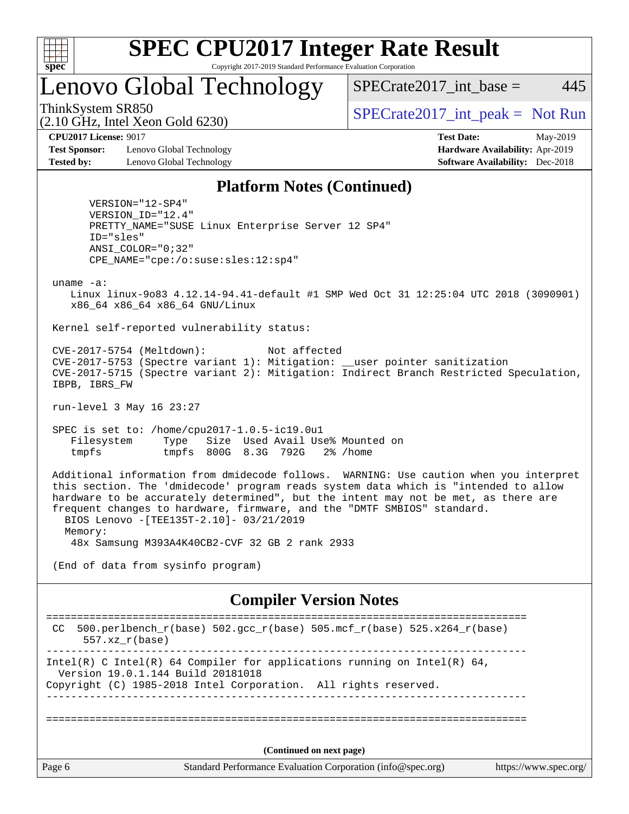

Lenovo Global Technology

ThinkSystem SR850<br>  $SPECTA = Not Run$ <br>  $SPECTA = Not Run$ 

 $SPECTate2017\_int\_base = 445$ 

(2.10 GHz, Intel Xeon Gold 6230)

**[Test Sponsor:](http://www.spec.org/auto/cpu2017/Docs/result-fields.html#TestSponsor)** Lenovo Global Technology **[Hardware Availability:](http://www.spec.org/auto/cpu2017/Docs/result-fields.html#HardwareAvailability)** Apr-2019 **[Tested by:](http://www.spec.org/auto/cpu2017/Docs/result-fields.html#Testedby)** Lenovo Global Technology **[Software Availability:](http://www.spec.org/auto/cpu2017/Docs/result-fields.html#SoftwareAvailability)** Dec-2018

**[CPU2017 License:](http://www.spec.org/auto/cpu2017/Docs/result-fields.html#CPU2017License)** 9017 **[Test Date:](http://www.spec.org/auto/cpu2017/Docs/result-fields.html#TestDate)** May-2019

#### **[Platform Notes \(Continued\)](http://www.spec.org/auto/cpu2017/Docs/result-fields.html#PlatformNotes)**

 VERSION="12-SP4" VERSION\_ID="12.4" PRETTY\_NAME="SUSE Linux Enterprise Server 12 SP4" ID="sles" ANSI\_COLOR="0;32" CPE\_NAME="cpe:/o:suse:sles:12:sp4"

uname -a:

 Linux linux-9o83 4.12.14-94.41-default #1 SMP Wed Oct 31 12:25:04 UTC 2018 (3090901) x86\_64 x86\_64 x86\_64 GNU/Linux

Kernel self-reported vulnerability status:

 CVE-2017-5754 (Meltdown): Not affected CVE-2017-5753 (Spectre variant 1): Mitigation: \_\_user pointer sanitization CVE-2017-5715 (Spectre variant 2): Mitigation: Indirect Branch Restricted Speculation, IBPB, IBRS\_FW

run-level 3 May 16 23:27

 SPEC is set to: /home/cpu2017-1.0.5-ic19.0u1 Filesystem Type Size Used Avail Use% Mounted on tmpfs tmpfs 800G 8.3G 792G 2% /home

 Additional information from dmidecode follows. WARNING: Use caution when you interpret this section. The 'dmidecode' program reads system data which is "intended to allow hardware to be accurately determined", but the intent may not be met, as there are frequent changes to hardware, firmware, and the "DMTF SMBIOS" standard. BIOS Lenovo -[TEE135T-2.10]- 03/21/2019 Memory: 48x Samsung M393A4K40CB2-CVF 32 GB 2 rank 2933

(End of data from sysinfo program)

#### **[Compiler Version Notes](http://www.spec.org/auto/cpu2017/Docs/result-fields.html#CompilerVersionNotes)**

Page 6 Standard Performance Evaluation Corporation [\(info@spec.org\)](mailto:info@spec.org) <https://www.spec.org/> ============================================================================== CC 500.perlbench\_r(base)  $502.\text{gcc}_r(\text{base})$  505.mcf\_r(base)  $525.x264_r(\text{base})$  557.xz\_r(base) ------------------------------------------------------------------------------ Intel(R) C Intel(R) 64 Compiler for applications running on Intel(R)  $64$ , Version 19.0.1.144 Build 20181018 Copyright (C) 1985-2018 Intel Corporation. All rights reserved. ------------------------------------------------------------------------------ ============================================================================== **(Continued on next page)**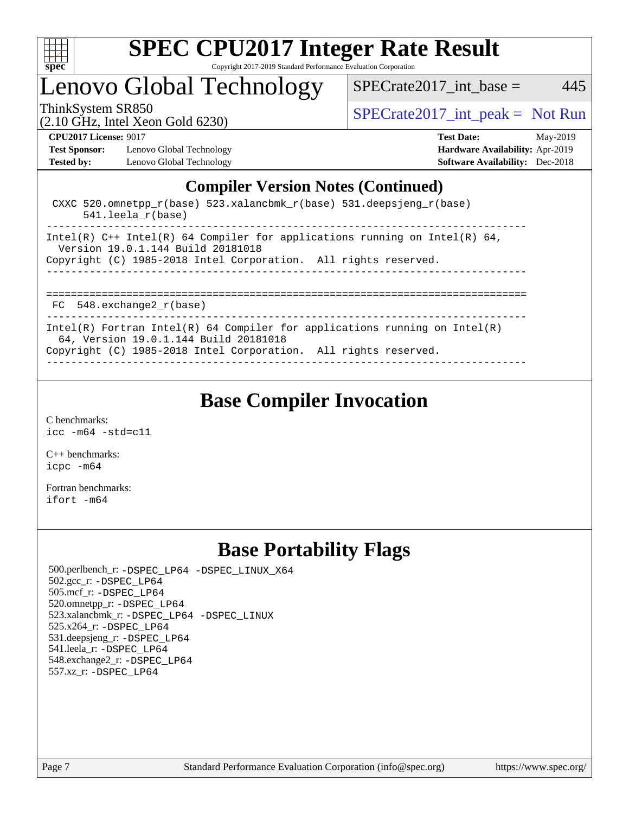

Lenovo Global Technology

ThinkSystem SR850<br>  $SPECTR_{10}$  [SPECrate2017\\_int\\_peak =](http://www.spec.org/auto/cpu2017/Docs/result-fields.html#SPECrate2017intpeak) Not Run

 $SPECTate2017\_int\_base = 445$ 

(2.10 GHz, Intel Xeon Gold 6230)

**[Test Sponsor:](http://www.spec.org/auto/cpu2017/Docs/result-fields.html#TestSponsor)** Lenovo Global Technology **[Hardware Availability:](http://www.spec.org/auto/cpu2017/Docs/result-fields.html#HardwareAvailability)** Apr-2019 **[Tested by:](http://www.spec.org/auto/cpu2017/Docs/result-fields.html#Testedby)** Lenovo Global Technology **[Software Availability:](http://www.spec.org/auto/cpu2017/Docs/result-fields.html#SoftwareAvailability)** Dec-2018

**[CPU2017 License:](http://www.spec.org/auto/cpu2017/Docs/result-fields.html#CPU2017License)** 9017 **[Test Date:](http://www.spec.org/auto/cpu2017/Docs/result-fields.html#TestDate)** May-2019

#### **[Compiler Version Notes \(Continued\)](http://www.spec.org/auto/cpu2017/Docs/result-fields.html#CompilerVersionNotes)**

 CXXC 520.omnetpp\_r(base) 523.xalancbmk\_r(base) 531.deepsjeng\_r(base) 541.leela\_r(base) ------------------------------------------------------------------------------ Intel(R)  $C++$  Intel(R) 64 Compiler for applications running on Intel(R) 64, Version 19.0.1.144 Build 20181018 Copyright (C) 1985-2018 Intel Corporation. All rights reserved. ------------------------------------------------------------------------------ ============================================================================== FC 548.exchange2\_r(base) Intel(R) Fortran Intel(R) 64 Compiler for applications running on Intel(R)

64, Version 19.0.1.144 Build 20181018

Copyright (C) 1985-2018 Intel Corporation. All rights reserved.

------------------------------------------------------------------------------

### **[Base Compiler Invocation](http://www.spec.org/auto/cpu2017/Docs/result-fields.html#BaseCompilerInvocation)**

[C benchmarks](http://www.spec.org/auto/cpu2017/Docs/result-fields.html#Cbenchmarks): [icc -m64 -std=c11](http://www.spec.org/cpu2017/results/res2019q3/cpu2017-20190708-16004.flags.html#user_CCbase_intel_icc_64bit_c11_33ee0cdaae7deeeab2a9725423ba97205ce30f63b9926c2519791662299b76a0318f32ddfffdc46587804de3178b4f9328c46fa7c2b0cd779d7a61945c91cd35)

[C++ benchmarks:](http://www.spec.org/auto/cpu2017/Docs/result-fields.html#CXXbenchmarks) [icpc -m64](http://www.spec.org/cpu2017/results/res2019q3/cpu2017-20190708-16004.flags.html#user_CXXbase_intel_icpc_64bit_4ecb2543ae3f1412ef961e0650ca070fec7b7afdcd6ed48761b84423119d1bf6bdf5cad15b44d48e7256388bc77273b966e5eb805aefd121eb22e9299b2ec9d9)

[Fortran benchmarks](http://www.spec.org/auto/cpu2017/Docs/result-fields.html#Fortranbenchmarks): [ifort -m64](http://www.spec.org/cpu2017/results/res2019q3/cpu2017-20190708-16004.flags.html#user_FCbase_intel_ifort_64bit_24f2bb282fbaeffd6157abe4f878425411749daecae9a33200eee2bee2fe76f3b89351d69a8130dd5949958ce389cf37ff59a95e7a40d588e8d3a57e0c3fd751)

## **[Base Portability Flags](http://www.spec.org/auto/cpu2017/Docs/result-fields.html#BasePortabilityFlags)**

 500.perlbench\_r: [-DSPEC\\_LP64](http://www.spec.org/cpu2017/results/res2019q3/cpu2017-20190708-16004.flags.html#b500.perlbench_r_basePORTABILITY_DSPEC_LP64) [-DSPEC\\_LINUX\\_X64](http://www.spec.org/cpu2017/results/res2019q3/cpu2017-20190708-16004.flags.html#b500.perlbench_r_baseCPORTABILITY_DSPEC_LINUX_X64) 502.gcc\_r: [-DSPEC\\_LP64](http://www.spec.org/cpu2017/results/res2019q3/cpu2017-20190708-16004.flags.html#suite_basePORTABILITY502_gcc_r_DSPEC_LP64) 505.mcf\_r: [-DSPEC\\_LP64](http://www.spec.org/cpu2017/results/res2019q3/cpu2017-20190708-16004.flags.html#suite_basePORTABILITY505_mcf_r_DSPEC_LP64) 520.omnetpp\_r: [-DSPEC\\_LP64](http://www.spec.org/cpu2017/results/res2019q3/cpu2017-20190708-16004.flags.html#suite_basePORTABILITY520_omnetpp_r_DSPEC_LP64) 523.xalancbmk\_r: [-DSPEC\\_LP64](http://www.spec.org/cpu2017/results/res2019q3/cpu2017-20190708-16004.flags.html#suite_basePORTABILITY523_xalancbmk_r_DSPEC_LP64) [-DSPEC\\_LINUX](http://www.spec.org/cpu2017/results/res2019q3/cpu2017-20190708-16004.flags.html#b523.xalancbmk_r_baseCXXPORTABILITY_DSPEC_LINUX) 525.x264\_r: [-DSPEC\\_LP64](http://www.spec.org/cpu2017/results/res2019q3/cpu2017-20190708-16004.flags.html#suite_basePORTABILITY525_x264_r_DSPEC_LP64) 531.deepsjeng\_r: [-DSPEC\\_LP64](http://www.spec.org/cpu2017/results/res2019q3/cpu2017-20190708-16004.flags.html#suite_basePORTABILITY531_deepsjeng_r_DSPEC_LP64) 541.leela\_r: [-DSPEC\\_LP64](http://www.spec.org/cpu2017/results/res2019q3/cpu2017-20190708-16004.flags.html#suite_basePORTABILITY541_leela_r_DSPEC_LP64) 548.exchange2\_r: [-DSPEC\\_LP64](http://www.spec.org/cpu2017/results/res2019q3/cpu2017-20190708-16004.flags.html#suite_basePORTABILITY548_exchange2_r_DSPEC_LP64) 557.xz\_r: [-DSPEC\\_LP64](http://www.spec.org/cpu2017/results/res2019q3/cpu2017-20190708-16004.flags.html#suite_basePORTABILITY557_xz_r_DSPEC_LP64)